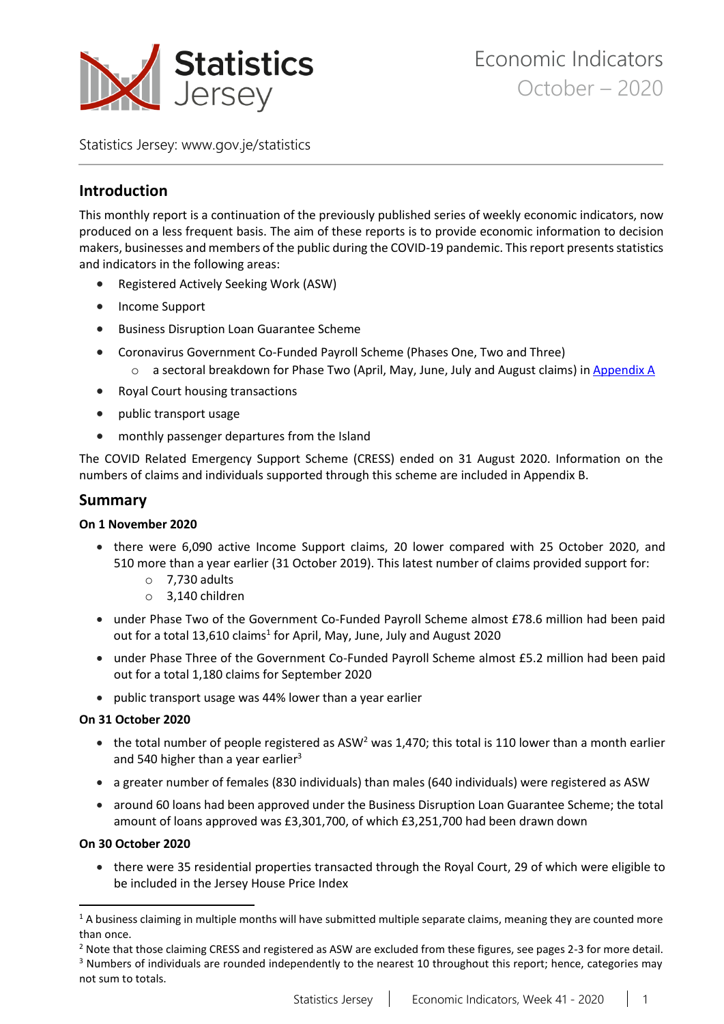

Statistics Jersey: [www.gov.je/statistics](https://www.gov.je/statistics)

# **Introduction**

This monthly report is a continuation of the previously published series of weekly economic indicators, now produced on a less frequent basis. The aim of these reports is to provide economic information to decision makers, businesses and members of the public during the COVID-19 pandemic. This report presents statistics and indicators in the following areas:

- Registered Actively Seeking Work (ASW)
- Income Support
- **•** Business Disruption Loan Guarantee Scheme
- Coronavirus Government Co-Funded Payroll Scheme (Phases One, Two and Three)
	- o a sectoral breakdown for Phase Two (April, May, June, July and August claims) i[n Appendix A](#page-14-0)
- Royal Court housing transactions
- public transport usage
- monthly passenger departures from the Island

The COVID Related Emergency Support Scheme (CRESS) ended on 31 August 2020. Information on the numbers of claims and individuals supported through this scheme are included in Appendix B.

# **Summary**

## **On 1 November 2020**

- there were 6,090 active Income Support claims, 20 lower compared with 25 October 2020, and 510 more than a year earlier (31 October 2019). This latest number of claims provided support for:
	- o 7,730 adults
	- o 3,140 children
- under Phase Two of the Government Co-Funded Payroll Scheme almost £78.6 million had been paid out for a total 13,610 claims<sup>1</sup> for April, May, June, July and August 2020
- under Phase Three of the Government Co-Funded Payroll Scheme almost £5.2 million had been paid out for a total 1,180 claims for September 2020
- public transport usage was 44% lower than a year earlier

## **On 31 October 2020**

- $\bullet$  the total number of people registered as ASW<sup>2</sup> was 1,470; this total is 110 lower than a month earlier and 540 higher than a year earlier<sup>3</sup>
- a greater number of females (830 individuals) than males (640 individuals) were registered as ASW
- around 60 loans had been approved under the Business Disruption Loan Guarantee Scheme; the total amount of loans approved was £3,301,700, of which £3,251,700 had been drawn down

## **On 30 October 2020**

 $\ddot{\phantom{a}}$ 

 there were 35 residential properties transacted through the Royal Court, 29 of which were eligible to be included in the Jersey House Price Index

<sup>2</sup> Note that those claiming CRESS and registered as ASW are excluded from these figures, see pages 2-3 for more detail.

<sup>&</sup>lt;sup>1</sup> A business claiming in multiple months will have submitted multiple separate claims, meaning they are counted more than once.

<sup>&</sup>lt;sup>3</sup> Numbers of individuals are rounded independently to the nearest 10 throughout this report; hence, categories may not sum to totals.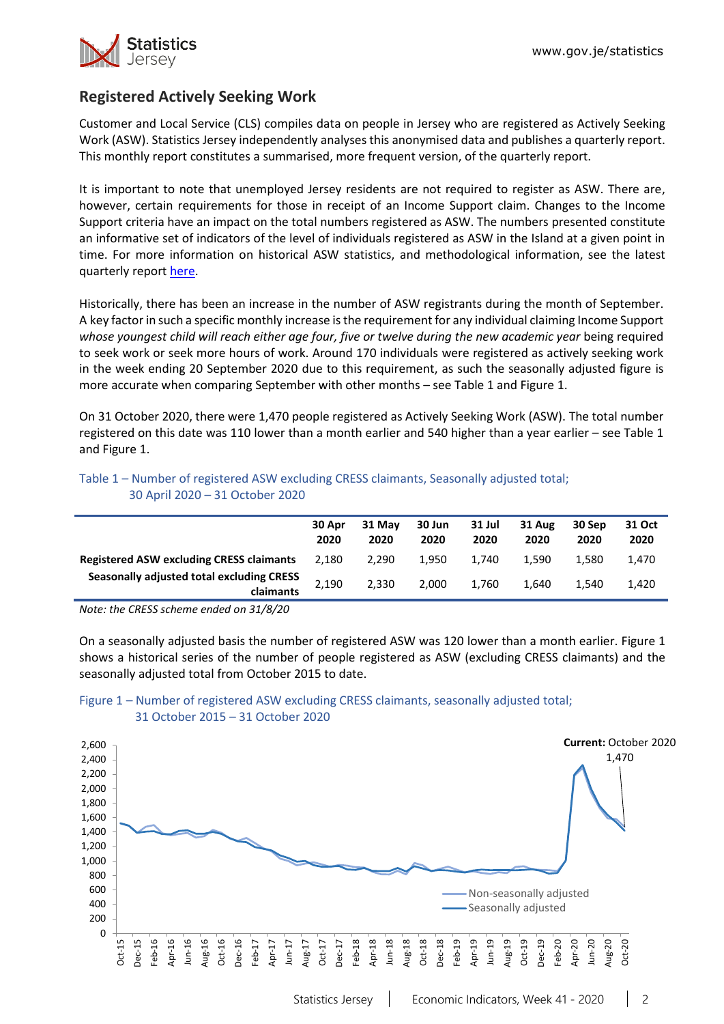

# **Registered Actively Seeking Work**

Customer and Local Service (CLS) compiles data on people in Jersey who are registered as Actively Seeking Work (ASW). Statistics Jersey independently analyses this anonymised data and publishes a quarterly report. This monthly report constitutes a summarised, more frequent version, of the quarterly report.

It is important to note that unemployed Jersey residents are not required to register as ASW. There are, however, certain requirements for those in receipt of an Income Support claim. Changes to the Income Support criteria have an impact on the total numbers registered as ASW. The numbers presented constitute an informative set of indicators of the level of individuals registered as ASW in the Island at a given point in time. For more information on historical ASW statistics, and methodological information, see the latest quarterly repor[t here.](https://www.gov.je/Government/JerseyInFigures/EmploymentEarnings/Pages/RegisteredUnemployment.aspx)

Historically, there has been an increase in the number of ASW registrants during the month of September. A key factor in such a specific monthly increase isthe requirement for any individual claiming Income Support *whose youngest child will reach either age four, five or twelve during the new academic year* being required to seek work or seek more hours of work. Around 170 individuals were registered as actively seeking work in the week ending 20 September 2020 due to this requirement, as such the seasonally adjusted figure is more accurate when comparing September with other months – see Table 1 and Figure 1.

On 31 October 2020, there were 1,470 people registered as Actively Seeking Work (ASW). The total number registered on this date was 110 lower than a month earlier and 540 higher than a year earlier – see Table 1 and Figure 1.

| Table 1 – Number of registered ASW excluding CRESS claimants, Seasonally adjusted total; |  |
|------------------------------------------------------------------------------------------|--|
| 30 April 2020 – 31 October 2020                                                          |  |

|                                                        | 30 Apr<br>2020 | 31 May<br>2020 | 30 Jun<br>2020 | 31 Jul<br>2020 | 31 Aug<br>2020 | 30 Sep<br>2020 | 31 Oct<br>2020 |
|--------------------------------------------------------|----------------|----------------|----------------|----------------|----------------|----------------|----------------|
| <b>Registered ASW excluding CRESS claimants</b>        | 2.180          | 2.290          | 1.950          | 1.740          | 1.590          | 1.580          | 1.470          |
| Seasonally adjusted total excluding CRESS<br>claimants | 2,190          | 2.330          | 2.000          | 1,760          | 1.640          | 1.540          | 1,420          |

*Note: the CRESS scheme ended on 31/8/20*

On a seasonally adjusted basis the number of registered ASW was 120 lower than a month earlier. Figure 1 shows a historical series of the number of people registered as ASW (excluding CRESS claimants) and the seasonally adjusted total from October 2015 to date.



## Figure 1 – Number of registered ASW excluding CRESS claimants, seasonally adjusted total; 31 October 2015 – 31 October 2020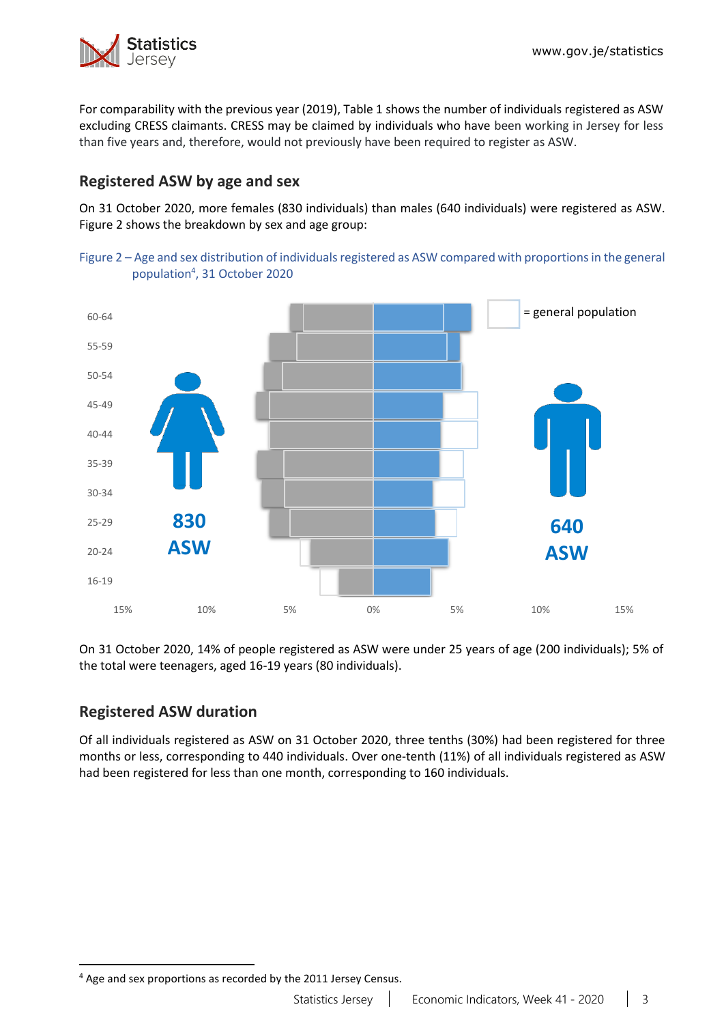

For comparability with the previous year (2019), Table 1 shows the number of individuals registered as ASW excluding CRESS claimants. CRESS may be claimed by individuals who have been working in Jersey for less than five years and, therefore, would not previously have been required to register as ASW.

# **Registered ASW by age and sex**

On 31 October 2020, more females (830 individuals) than males (640 individuals) were registered as ASW. Figure 2 shows the breakdown by sex and age group:





On 31 October 2020, 14% of people registered as ASW were under 25 years of age (200 individuals); 5% of the total were teenagers, aged 16-19 years (80 individuals).

# **Registered ASW duration**

Of all individuals registered as ASW on 31 October 2020, three tenths (30%) had been registered for three months or less, corresponding to 440 individuals. Over one-tenth (11%) of all individuals registered as ASW had been registered for less than one month, corresponding to 160 individuals.

 $\overline{a}$ <sup>4</sup> Age and sex proportions as recorded by the 2011 Jersey Census.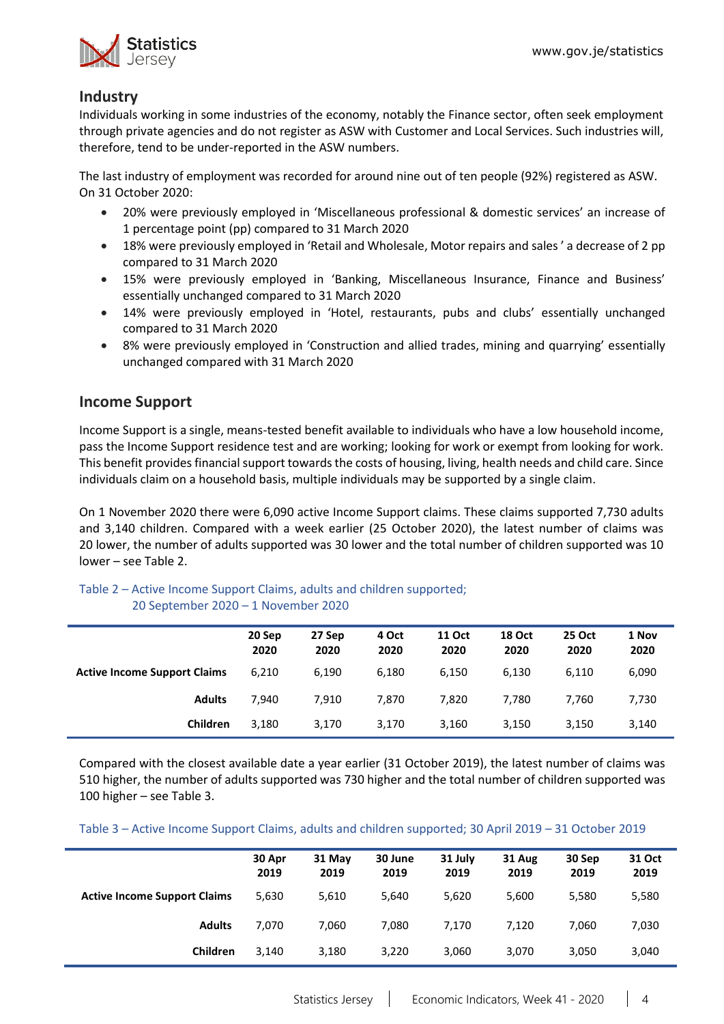

# **Industry**

Individuals working in some industries of the economy, notably the Finance sector, often seek employment through private agencies and do not register as ASW with Customer and Local Services. Such industries will, therefore, tend to be under-reported in the ASW numbers.

The last industry of employment was recorded for around nine out of ten people (92%) registered as ASW. On 31 October 2020:

- 20% were previously employed in 'Miscellaneous professional & domestic services' an increase of 1 percentage point (pp) compared to 31 March 2020
- 18% were previously employed in 'Retail and Wholesale, Motor repairs and sales ' a decrease of 2 pp compared to 31 March 2020
- 15% were previously employed in 'Banking, Miscellaneous Insurance, Finance and Business' essentially unchanged compared to 31 March 2020
- 14% were previously employed in 'Hotel, restaurants, pubs and clubs' essentially unchanged compared to 31 March 2020
- 8% were previously employed in 'Construction and allied trades, mining and quarrying' essentially unchanged compared with 31 March 2020

# **Income Support**

Income Support is a single, means-tested benefit available to individuals who have a low household income, pass the Income Support residence test and are working; looking for work or exempt from looking for work. This benefit provides financial support towards the costs of housing, living, health needs and child care. Since individuals claim on a household basis, multiple individuals may be supported by a single claim.

On 1 November 2020 there were 6,090 active Income Support claims. These claims supported 7,730 adults and 3,140 children. Compared with a week earlier (25 October 2020), the latest number of claims was 20 lower, the number of adults supported was 30 lower and the total number of children supported was 10 lower – see Table 2.

#### Table 2 – Active Income Support Claims, adults and children supported; 20 September 2020 – 1 November 2020

|                                     | 20 Sep<br>2020 | 27 Sep<br>2020 | 4 Oct<br>2020 | <b>11 Oct</b><br>2020 | <b>18 Oct</b><br>2020 | <b>25 Oct</b><br>2020 | 1 Nov<br>2020 |
|-------------------------------------|----------------|----------------|---------------|-----------------------|-----------------------|-----------------------|---------------|
| <b>Active Income Support Claims</b> | 6.210          | 6,190          | 6,180         | 6,150                 | 6,130                 | 6.110                 | 6,090         |
| <b>Adults</b>                       | 7.940          | 7.910          | 7.870         | 7.820                 | 7.780                 | 7.760                 | 7,730         |
| Children                            | 3,180          | 3,170          | 3,170         | 3,160                 | 3,150                 | 3,150                 | 3,140         |

Compared with the closest available date a year earlier (31 October 2019), the latest number of claims was 510 higher, the number of adults supported was 730 higher and the total number of children supported was 100 higher – see Table 3.

Table 3 – Active Income Support Claims, adults and children supported; 30 April 2019 – 31 October 2019

|                                     | 30 Apr<br>2019 | 31 May<br>2019 | 30 June<br>2019 | 31 July<br>2019 | 31 Aug<br>2019 | 30 Sep<br>2019 | 31 Oct<br>2019 |
|-------------------------------------|----------------|----------------|-----------------|-----------------|----------------|----------------|----------------|
| <b>Active Income Support Claims</b> | 5,630          | 5,610          | 5,640           | 5,620           | 5,600          | 5,580          | 5,580          |
| <b>Adults</b>                       | 7.070          | 7.060          | 7.080           | 7.170           | 7.120          | 7.060          | 7,030          |
| Children                            | 3.140          | 3,180          | 3,220           | 3,060           | 3,070          | 3,050          | 3,040          |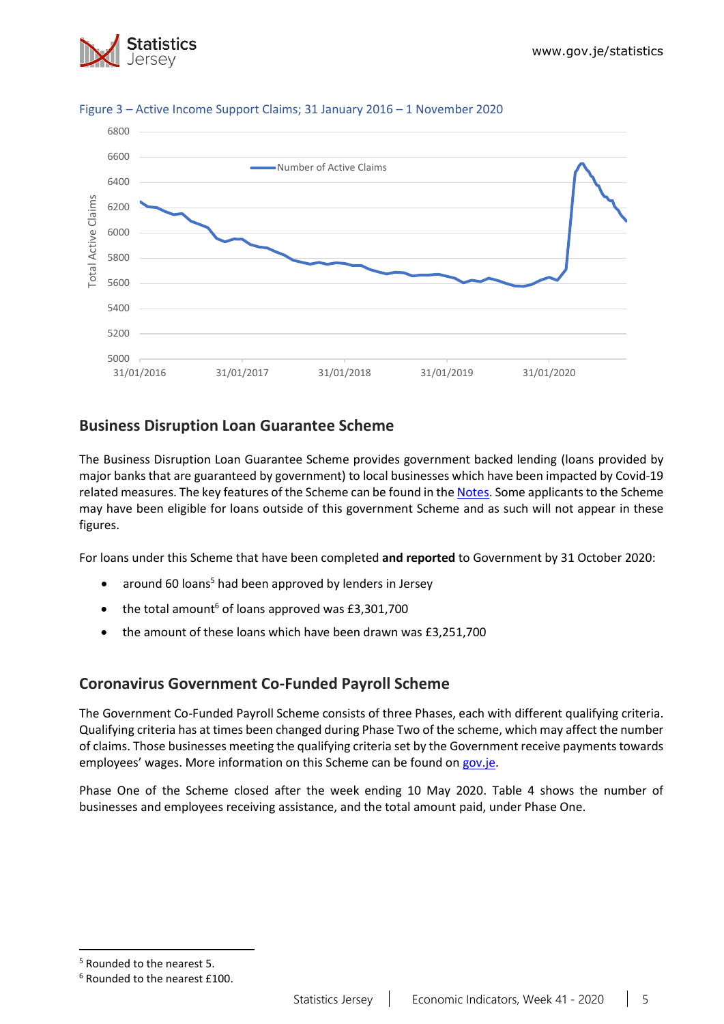



#### Figure 3 – Active Income Support Claims; 31 January 2016 – 1 November 2020

# **Business Disruption Loan Guarantee Scheme**

The Business Disruption Loan Guarantee Scheme provides government backed lending (loans provided by major banks that are guaranteed by government) to local businesses which have been impacted by Covid-19 related measures. The key features of the Scheme can be found in the [Notes.](#page-13-0) Some applicants to the Scheme may have been eligible for loans outside of this government Scheme and as such will not appear in these figures.

For loans under this Scheme that have been completed **and reported** to Government by 31 October 2020:

- around 60 loans<sup>5</sup> had been approved by lenders in Jersey
- $\bullet$  the total amount<sup>6</sup> of loans approved was £3,301,700
- the amount of these loans which have been drawn was £3,251,700

# **Coronavirus Government Co-Funded Payroll Scheme**

The Government Co-Funded Payroll Scheme consists of three Phases, each with different qualifying criteria. Qualifying criteria has at times been changed during Phase Two of the scheme, which may affect the number of claims. Those businesses meeting the qualifying criteria set by the Government receive payments towards employees' wages. More information on this Scheme can be found o[n gov.je.](https://www.gov.je/health/coronavirus/businessandemployment/pages/governmentsupportforbusinesses.aspx)

Phase One of the Scheme closed after the week ending 10 May 2020. Table 4 shows the number of businesses and employees receiving assistance, and the total amount paid, under Phase One.

 $\overline{a}$ 

<sup>5</sup> Rounded to the nearest 5.

<sup>6</sup> Rounded to the nearest £100.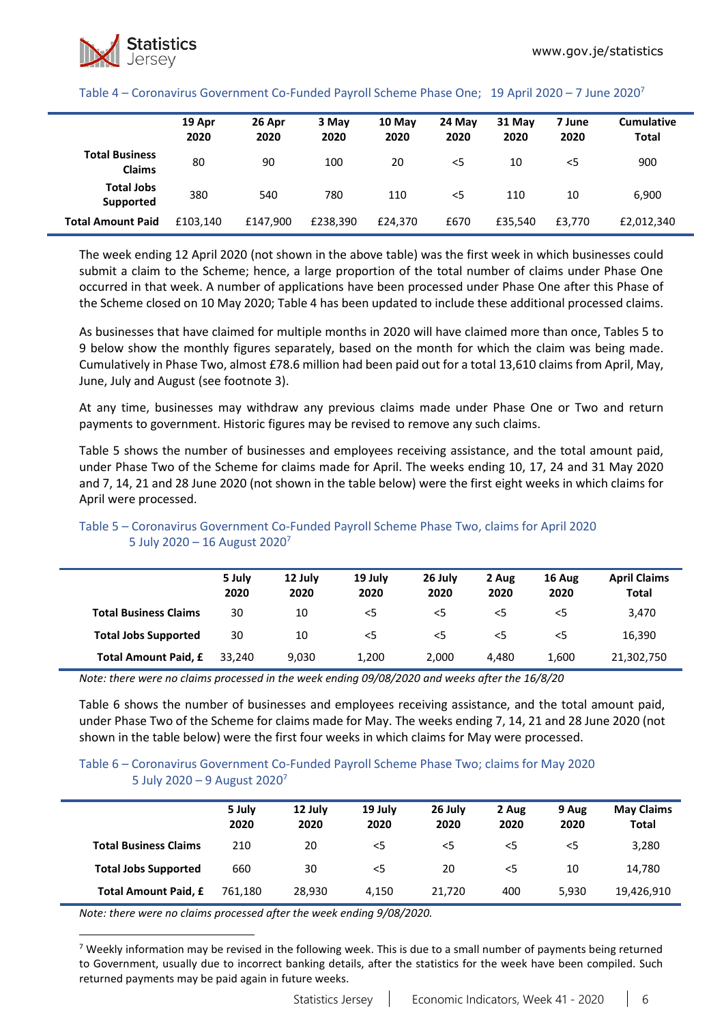#### Table 4 – Coronavirus Government Co-Funded Payroll Scheme Phase One; 19 April 2020 – 7 June 2020<sup>7</sup>

|                                        | 19 Apr<br>2020 | 26 Apr<br>2020 | 3 May<br>2020 | 10 May<br>2020 | 24 May<br>2020 | 31 May<br>2020 | 7 June<br>2020 | <b>Cumulative</b><br><b>Total</b> |
|----------------------------------------|----------------|----------------|---------------|----------------|----------------|----------------|----------------|-----------------------------------|
| <b>Total Business</b><br><b>Claims</b> | 80             | 90             | 100           | 20             | <5             | 10             | $<$ 5          | 900                               |
| <b>Total Jobs</b><br>Supported         | 380            | 540            | 780           | 110            | $<$ 5          | 110            | 10             | 6,900                             |
| <b>Total Amount Paid</b>               | £103.140       | £147.900       | £238.390      | £24.370        | £670           | £35,540        | £3.770         | £2,012,340                        |

The week ending 12 April 2020 (not shown in the above table) was the first week in which businesses could submit a claim to the Scheme; hence, a large proportion of the total number of claims under Phase One occurred in that week. A number of applications have been processed under Phase One after this Phase of the Scheme closed on 10 May 2020; Table 4 has been updated to include these additional processed claims.

As businesses that have claimed for multiple months in 2020 will have claimed more than once, Tables 5 to 9 below show the monthly figures separately, based on the month for which the claim was being made. Cumulatively in Phase Two, almost £78.6 million had been paid out for a total 13,610 claims from April, May, June, July and August (see footnote 3).

At any time, businesses may withdraw any previous claims made under Phase One or Two and return payments to government. Historic figures may be revised to remove any such claims.

Table 5 shows the number of businesses and employees receiving assistance, and the total amount paid, under Phase Two of the Scheme for claims made for April. The weeks ending 10, 17, 24 and 31 May 2020 and 7, 14, 21 and 28 June 2020 (not shown in the table below) were the first eight weeks in which claims for April were processed.

|                              | 5 July<br>2020 | 12 July<br>2020 | 19 July<br>2020 | 26 July<br>2020 | 2 Aug<br>2020 | 16 Aug<br>2020 | <b>April Claims</b><br><b>Total</b> |
|------------------------------|----------------|-----------------|-----------------|-----------------|---------------|----------------|-------------------------------------|
| <b>Total Business Claims</b> | 30             | 10              | $<$ 5           | $<$ 5           | $<$ 5         | $<$ 5          | 3.470                               |
| <b>Total Jobs Supported</b>  | 30             | 10              | $<$ 5           | $<$ 5           | $<$ 5         | $<$ 5          | 16,390                              |
| Total Amount Paid, £         | 33.240         | 9,030           | 1,200           | 2.000           | 4.480         | 1,600          | 21,302,750                          |

### Table 5 – Coronavirus Government Co-Funded Payroll Scheme Phase Two, claims for April 2020 5 July 2020 – 16 August 2020<sup>7</sup>

*Note: there were no claims processed in the week ending 09/08/2020 and weeks after the 16/8/20*

Table 6 shows the number of businesses and employees receiving assistance, and the total amount paid, under Phase Two of the Scheme for claims made for May. The weeks ending 7, 14, 21 and 28 June 2020 (not shown in the table below) were the first four weeks in which claims for May were processed.

#### Table 6 – Coronavirus Government Co-Funded Payroll Scheme Phase Two; claims for May 2020 5 July 2020 – 9 August 2020<sup>7</sup>

|                              | 5 July<br>2020 | 12 July<br>2020 | 19 July<br>2020 | 26 July<br>2020 | 2 Aug<br>2020 | 9 Aug<br>2020 | <b>May Claims</b><br><b>Total</b> |
|------------------------------|----------------|-----------------|-----------------|-----------------|---------------|---------------|-----------------------------------|
| <b>Total Business Claims</b> | 210            | 20              | $<$ 5           | $<$ 5           | <5            | $<$ 5         | 3,280                             |
| <b>Total Jobs Supported</b>  | 660            | 30              | $<$ 5           | 20              | $<$ 5         | 10            | 14,780                            |
| <b>Total Amount Paid, £</b>  | 761.180        | 28.930          | 4.150           | 21,720          | 400           | 5.930         | 19,426,910                        |

*Note: there were no claims processed after the week ending 9/08/2020.*

 $\overline{a}$ 

<sup>7</sup> Weekly information may be revised in the following week. This is due to a small number of payments being returned to Government, usually due to incorrect banking details, after the statistics for the week have been compiled. Such returned payments may be paid again in future weeks.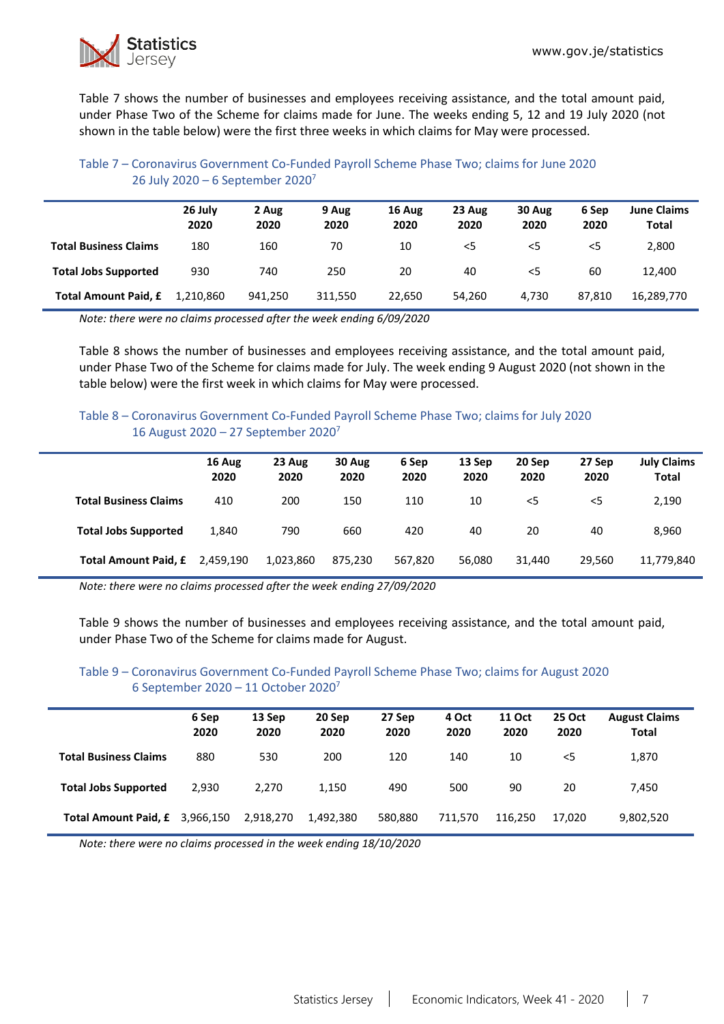

Table 7 shows the number of businesses and employees receiving assistance, and the total amount paid, under Phase Two of the Scheme for claims made for June. The weeks ending 5, 12 and 19 July 2020 (not shown in the table below) were the first three weeks in which claims for May were processed.

### Table 7 – Coronavirus Government Co-Funded Payroll Scheme Phase Two; claims for June 2020 26 July 2020 – 6 September 2020<sup>7</sup>

|                              | 26 July<br>2020 | 2 Aug<br>2020 | 9 Aug<br>2020 | 16 Aug<br>2020 | 23 Aug<br>2020 | 30 Aug<br>2020 | 6 Sep<br>2020 | <b>June Claims</b><br>Total |
|------------------------------|-----------------|---------------|---------------|----------------|----------------|----------------|---------------|-----------------------------|
| <b>Total Business Claims</b> | 180             | 160           | 70            | 10             | $<$ 5          | $<$ 5          | $<$ 5         | 2,800                       |
| <b>Total Jobs Supported</b>  | 930             | 740           | 250           | 20             | 40             | <5             | 60            | 12.400                      |
| <b>Total Amount Paid, £</b>  | 1.210.860       | 941.250       | 311,550       | 22,650         | 54.260         | 4.730          | 87.810        | 16,289,770                  |

*Note: there were no claims processed after the week ending 6/09/2020*

Table 8 shows the number of businesses and employees receiving assistance, and the total amount paid, under Phase Two of the Scheme for claims made for July. The week ending 9 August 2020 (not shown in the table below) were the first week in which claims for May were processed.

### Table 8 – Coronavirus Government Co-Funded Payroll Scheme Phase Two; claims for July 2020 16 August 2020 – 27 September 2020<sup>7</sup>

|                              | 16 Aug<br>2020 | 23 Aug<br>2020 | 30 Aug<br>2020 | 6 Sep<br>2020 | 13 Sep<br>2020 | 20 Sep<br>2020 | 27 Sep<br>2020 | <b>July Claims</b><br><b>Total</b> |
|------------------------------|----------------|----------------|----------------|---------------|----------------|----------------|----------------|------------------------------------|
| <b>Total Business Claims</b> | 410            | 200            | 150            | 110           | 10             | $<$ 5          | $<$ 5          | 2,190                              |
| <b>Total Jobs Supported</b>  | 1,840          | 790            | 660            | 420           | 40             | 20             | 40             | 8,960                              |
| <b>Total Amount Paid, £</b>  | 2,459,190      | 1,023,860      | 875,230        | 567,820       | 56,080         | 31,440         | 29,560         | 11,779,840                         |

*Note: there were no claims processed after the week ending 27/09/2020*

Table 9 shows the number of businesses and employees receiving assistance, and the total amount paid, under Phase Two of the Scheme for claims made for August.

#### Table 9 – Coronavirus Government Co-Funded Payroll Scheme Phase Two; claims for August 2020 6 September 2020 – 11 October 2020<sup>7</sup>

|                                | 6 Sep<br>2020 | 13 Sep<br>2020 | 20 Sep<br>2020 | 27 Sep<br>2020 | 4 Oct<br>2020 | <b>11 Oct</b><br>2020 | <b>25 Oct</b><br>2020 | <b>August Claims</b><br><b>Total</b> |
|--------------------------------|---------------|----------------|----------------|----------------|---------------|-----------------------|-----------------------|--------------------------------------|
| <b>Total Business Claims</b>   | 880           | 530            | 200            | 120            | 140           | 10                    | $<$ 5                 | 1,870                                |
| <b>Total Jobs Supported</b>    | 2,930         | 2.270          | 1,150          | 490            | 500           | 90                    | 20                    | 7,450                                |
| Total Amount Paid, £ 3,966,150 |               | 2,918,270      | 1,492,380      | 580.880        | 711.570       | 116.250               | 17.020                | 9,802,520                            |

*Note: there were no claims processed in the week ending 18/10/2020*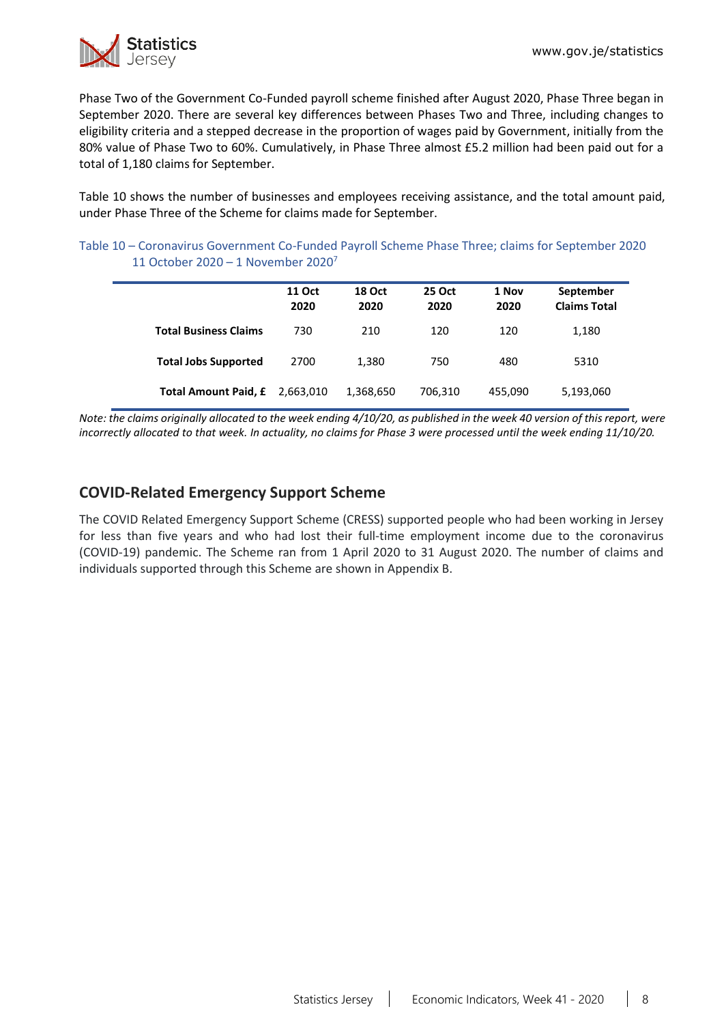

Phase Two of the Government Co-Funded payroll scheme finished after August 2020, Phase Three began in September 2020. There are several key differences between Phases Two and Three, including changes to eligibility criteria and a stepped decrease in the proportion of wages paid by Government, initially from the 80% value of Phase Two to 60%. Cumulatively, in Phase Three almost £5.2 million had been paid out for a total of 1,180 claims for September.

Table 10 shows the number of businesses and employees receiving assistance, and the total amount paid, under Phase Three of the Scheme for claims made for September.

| Table 10 - Coronavirus Government Co-Funded Payroll Scheme Phase Three; claims for September 2020 |  |
|---------------------------------------------------------------------------------------------------|--|
| 11 October 2020 – 1 November 2020 <sup>7</sup>                                                    |  |

|                              | <b>11 Oct</b><br>2020 | <b>18 Oct</b><br>2020 | 25 Oct<br>2020 | 1 Nov<br>2020 | September<br><b>Claims Total</b> |
|------------------------------|-----------------------|-----------------------|----------------|---------------|----------------------------------|
| <b>Total Business Claims</b> | 730                   | 210                   | 120            | 120           | 1,180                            |
| <b>Total Jobs Supported</b>  | 2700                  | 1,380                 | 750            | 480           | 5310                             |
| <b>Total Amount Paid, £</b>  | 2,663,010             | 1,368,650             | 706,310        | 455,090       | 5,193,060                        |

*Note: the claims originally allocated to the week ending 4/10/20, as published in the week 40 version of this report, were incorrectly allocated to that week. In actuality, no claims for Phase 3 were processed until the week ending 11/10/20.*

# **COVID-Related Emergency Support Scheme**

The COVID Related Emergency Support Scheme (CRESS) supported people who had been working in Jersey for less than five years and who had lost their full-time employment income due to the coronavirus (COVID-19) pandemic. The Scheme ran from 1 April 2020 to 31 August 2020. The number of claims and individuals supported through this Scheme are shown in Appendix B.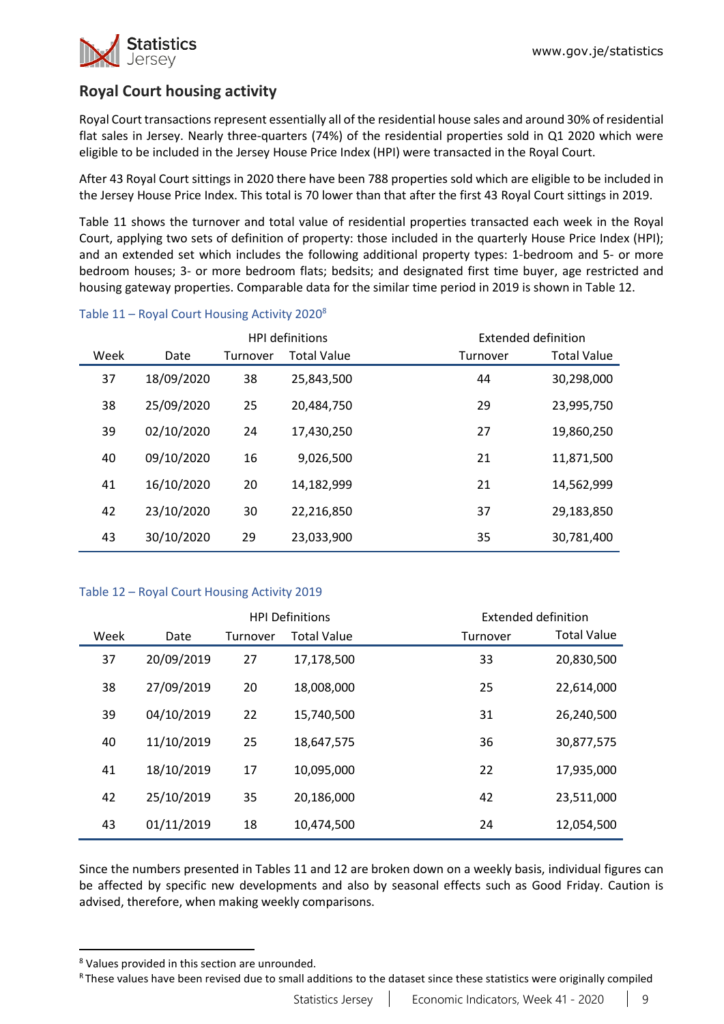

# **Royal Court housing activity**

Royal Court transactions represent essentially all of the residential house sales and around 30% of residential flat sales in Jersey. Nearly three-quarters (74%) of the residential properties sold in Q1 2020 which were eligible to be included in the Jersey House Price Index (HPI) were transacted in the Royal Court.

After 43 Royal Court sittings in 2020 there have been 788 properties sold which are eligible to be included in the Jersey House Price Index. This total is 70 lower than that after the first 43 Royal Court sittings in 2019.

Table 11 shows the turnover and total value of residential properties transacted each week in the Royal Court, applying two sets of definition of property: those included in the quarterly House Price Index (HPI); and an extended set which includes the following additional property types: 1-bedroom and 5- or more bedroom houses; 3- or more bedroom flats; bedsits; and designated first time buyer, age restricted and housing gateway properties. Comparable data for the similar time period in 2019 is shown in Table 12.

|      |            | <b>HPI definitions</b> |                    |          | Extended definition |
|------|------------|------------------------|--------------------|----------|---------------------|
| Week | Date       | Turnover               | <b>Total Value</b> | Turnover | <b>Total Value</b>  |
| 37   | 18/09/2020 | 38                     | 25,843,500         | 44       | 30,298,000          |
| 38   | 25/09/2020 | 25                     | 20,484,750         | 29       | 23,995,750          |
| 39   | 02/10/2020 | 24                     | 17,430,250         | 27       | 19,860,250          |
| 40   | 09/10/2020 | 16                     | 9,026,500          | 21       | 11,871,500          |
| 41   | 16/10/2020 | 20                     | 14,182,999         | 21       | 14,562,999          |
| 42   | 23/10/2020 | 30                     | 22,216,850         | 37       | 29,183,850          |
| 43   | 30/10/2020 | 29                     | 23,033,900         | 35       | 30,781,400          |

### Table  $11$  – Royal Court Housing Activity 2020<sup>8</sup>

#### Table 12 – Royal Court Housing Activity 2019

|      |            | <b>HPI Definitions</b> |                    |          | Extended definition |
|------|------------|------------------------|--------------------|----------|---------------------|
| Week | Date       | Turnover               | <b>Total Value</b> | Turnover | <b>Total Value</b>  |
| 37   | 20/09/2019 | 27                     | 17,178,500         | 33       | 20,830,500          |
| 38   | 27/09/2019 | 20                     | 18,008,000         | 25       | 22,614,000          |
| 39   | 04/10/2019 | 22                     | 15,740,500         | 31       | 26,240,500          |
| 40   | 11/10/2019 | 25                     | 18,647,575         | 36       | 30,877,575          |
| 41   | 18/10/2019 | 17                     | 10,095,000         | 22       | 17,935,000          |
| 42   | 25/10/2019 | 35                     | 20,186,000         | 42       | 23,511,000          |
| 43   | 01/11/2019 | 18                     | 10,474,500         | 24       | 12,054,500          |

Since the numbers presented in Tables 11 and 12 are broken down on a weekly basis, individual figures can be affected by specific new developments and also by seasonal effects such as Good Friday. Caution is advised, therefore, when making weekly comparisons.

 $\overline{a}$ 

<sup>8</sup> Values provided in this section are unrounded.

R These values have been revised due to small additions to the dataset since these statistics were originally compiled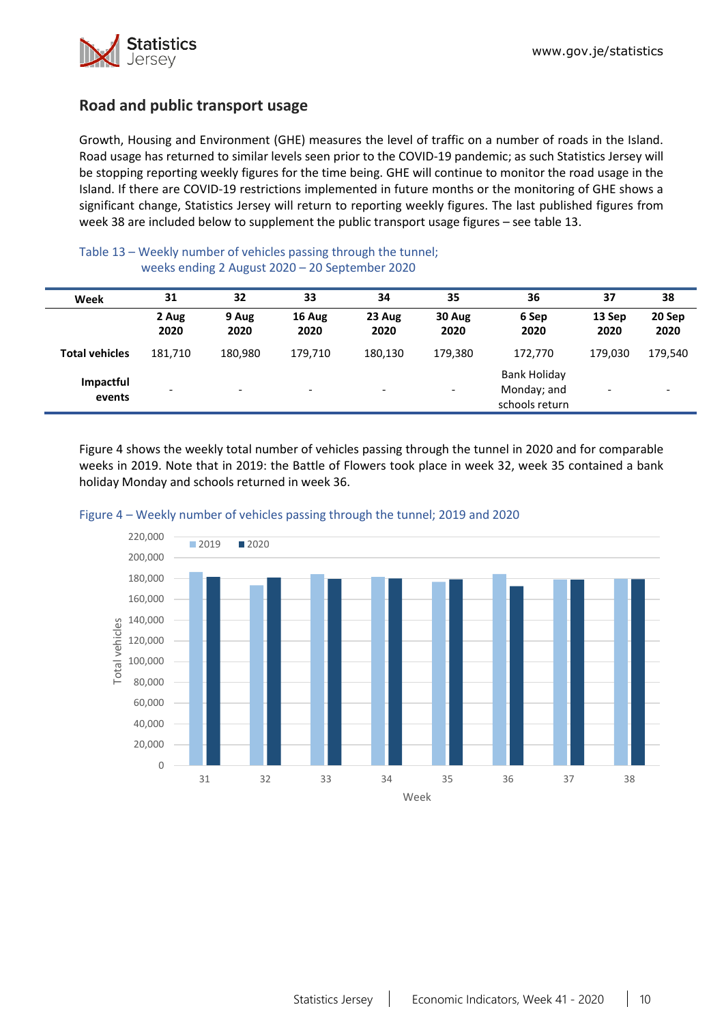

# **Road and public transport usage**

Growth, Housing and Environment (GHE) measures the level of traffic on a number of roads in the Island. Road usage has returned to similar levels seen prior to the COVID-19 pandemic; as such Statistics Jersey will be stopping reporting weekly figures for the time being. GHE will continue to monitor the road usage in the Island. If there are COVID-19 restrictions implemented in future months or the monitoring of GHE shows a significant change, Statistics Jersey will return to reporting weekly figures. The last published figures from week 38 are included below to supplement the public transport usage figures – see table 13.

#### Table 13 – Weekly number of vehicles passing through the tunnel; weeks ending 2 August 2020 – 20 September 2020

| Week                  | 31            | 32                       | 33                       | 34                       | 35                           | 36                                                   | 37             | 38                       |
|-----------------------|---------------|--------------------------|--------------------------|--------------------------|------------------------------|------------------------------------------------------|----------------|--------------------------|
|                       | 2 Aug<br>2020 | 9 Aug<br>2020            | 16 Aug<br>2020           | 23 Aug<br>2020           | 30 Aug<br>2020               | 6 Sep<br>2020                                        | 13 Sep<br>2020 | 20 Sep<br>2020           |
| <b>Total vehicles</b> | 181,710       | 180,980                  | 179,710                  | 180,130                  | 179,380                      | 172,770                                              | 179.030        | 179,540                  |
| Impactful<br>events   |               | $\overline{\phantom{0}}$ | $\overline{\phantom{0}}$ | $\overline{\phantom{a}}$ | $\qquad \qquad \blacksquare$ | <b>Bank Holiday</b><br>Monday; and<br>schools return |                | $\overline{\phantom{a}}$ |

Figure 4 shows the weekly total number of vehicles passing through the tunnel in 2020 and for comparable weeks in 2019. Note that in 2019: the Battle of Flowers took place in week 32, week 35 contained a bank holiday Monday and schools returned in week 36.



#### Figure 4 – Weekly number of vehicles passing through the tunnel; 2019 and 2020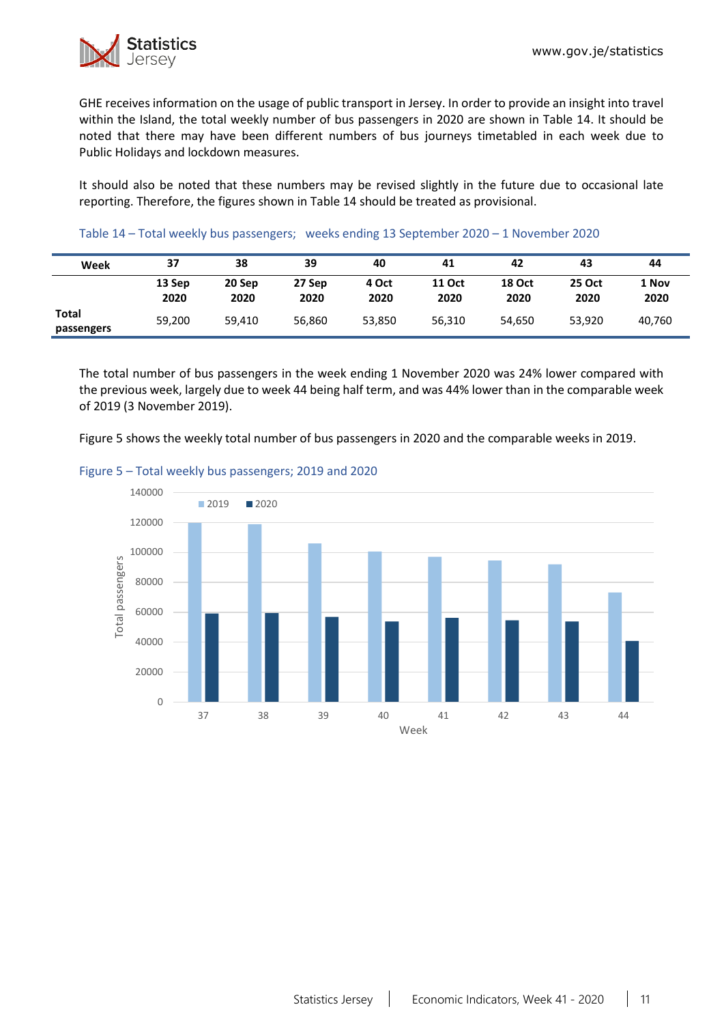GHE receives information on the usage of public transport in Jersey. In order to provide an insight into travel within the Island, the total weekly number of bus passengers in 2020 are shown in Table 14. It should be noted that there may have been different numbers of bus journeys timetabled in each week due to Public Holidays and lockdown measures.

It should also be noted that these numbers may be revised slightly in the future due to occasional late reporting. Therefore, the figures shown in Table 14 should be treated as provisional.

| Week                | 37             | 38             | 39             | 40            | 41                    | 42                    | 43                    | 44            |
|---------------------|----------------|----------------|----------------|---------------|-----------------------|-----------------------|-----------------------|---------------|
|                     | 13 Sep<br>2020 | 20 Sep<br>2020 | 27 Sep<br>2020 | 4 Oct<br>2020 | <b>11 Oct</b><br>2020 | <b>18 Oct</b><br>2020 | <b>25 Oct</b><br>2020 | 1 Nov<br>2020 |
| Total<br>passengers | 59,200         | 59,410         | 56,860         | 53,850        | 56,310                | 54.650                | 53,920                | 40,760        |

#### Table 14 – Total weekly bus passengers; weeks ending 13 September 2020 – 1 November 2020

The total number of bus passengers in the week ending 1 November 2020 was 24% lower compared with the previous week, largely due to week 44 being half term, and was 44% lower than in the comparable week of 2019 (3 November 2019).

Figure 5 shows the weekly total number of bus passengers in 2020 and the comparable weeks in 2019.



#### Figure 5 – Total weekly bus passengers; 2019 and 2020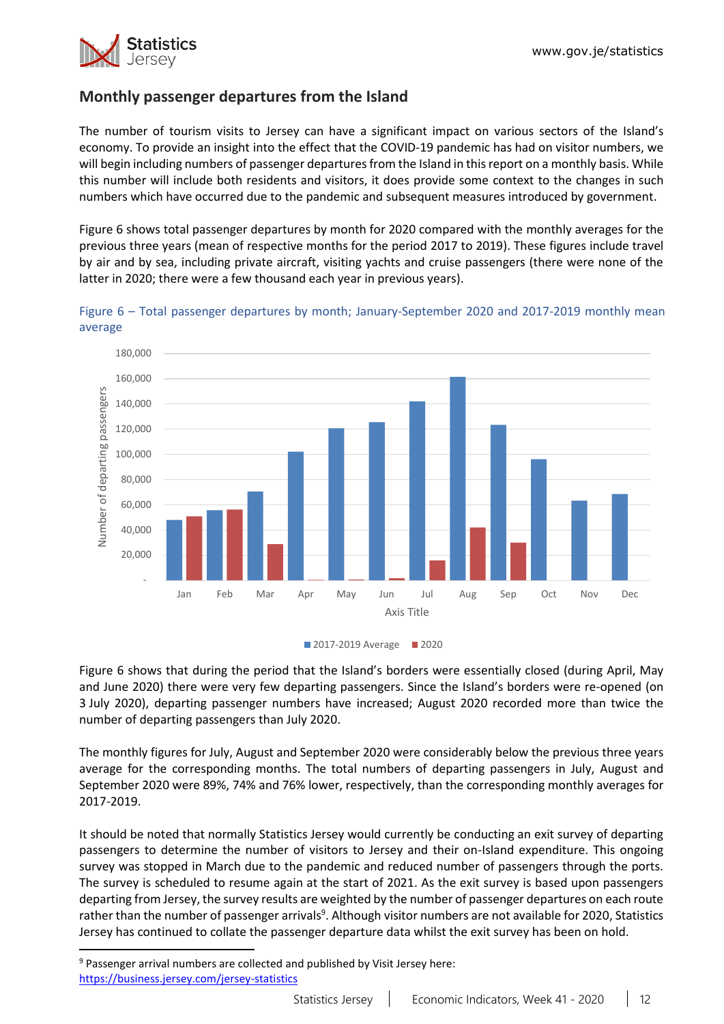

# **Monthly passenger departures from the Island**

The number of tourism visits to Jersey can have a significant impact on various sectors of the Island's economy. To provide an insight into the effect that the COVID-19 pandemic has had on visitor numbers, we will begin including numbers of passenger departures from the Island in this report on a monthly basis. While this number will include both residents and visitors, it does provide some context to the changes in such numbers which have occurred due to the pandemic and subsequent measures introduced by government.

Figure 6 shows total passenger departures by month for 2020 compared with the monthly averages for the previous three years (mean of respective months for the period 2017 to 2019). These figures include travel by air and by sea, including private aircraft, visiting yachts and cruise passengers (there were none of the latter in 2020; there were a few thousand each year in previous years).



Figure 6 – Total passenger departures by month; January-September 2020 and 2017-2019 monthly mean average

Figure 6 shows that during the period that the Island's borders were essentially closed (during April, May and June 2020) there were very few departing passengers. Since the Island's borders were re-opened (on 3 July 2020), departing passenger numbers have increased; August 2020 recorded more than twice the number of departing passengers than July 2020.

The monthly figures for July, August and September 2020 were considerably below the previous three years average for the corresponding months. The total numbers of departing passengers in July, August and September 2020 were 89%, 74% and 76% lower, respectively, than the corresponding monthly averages for 2017-2019.

It should be noted that normally Statistics Jersey would currently be conducting an exit survey of departing passengers to determine the number of visitors to Jersey and their on-Island expenditure. This ongoing survey was stopped in March due to the pandemic and reduced number of passengers through the ports. The survey is scheduled to resume again at the start of 2021. As the exit survey is based upon passengers departing from Jersey, the survey results are weighted by the number of passenger departures on each route rather than the number of passenger arrivals<sup>9</sup>. Although visitor numbers are not available for 2020, Statistics Jersey has continued to collate the passenger departure data whilst the exit survey has been on hold.

 $\overline{a}$ 

**<sup>2017-2019</sup> Average 2020** 

<sup>9</sup> Passenger arrival numbers are collected and published by Visit Jersey here: [https://business.jersey.com/jersey-statistics](https://eur02.safelinks.protection.outlook.com/?url=https%3A%2F%2Fbusiness.jersey.com%2Fjersey-statistics&data=02%7C01%7C%7C18958195f5cb4fc43cbb08d865f717ed%7C2b5615117ddf495c8164f56ae776c54a%7C0%7C0%7C637371459223142224&sdata=c%2FD%2FD%2Fcx2drbD9Ail55RN%2BPyQapXTyaFeyWT3h5VftM%3D&reserved=0)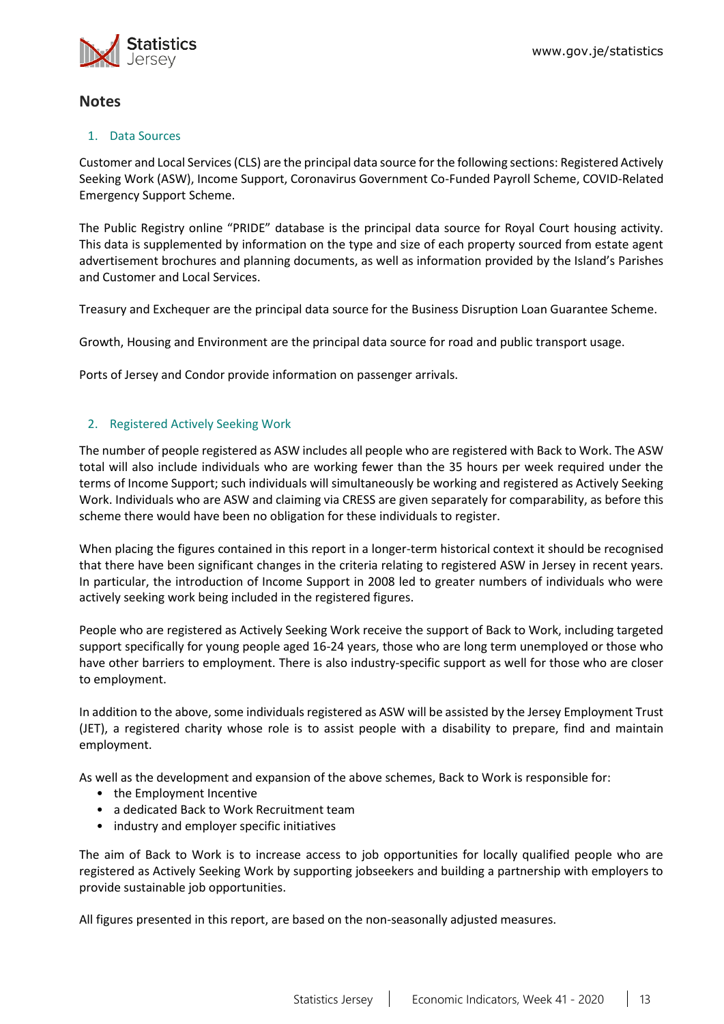

# **Notes**

### 1. Data Sources

Customer and Local Services (CLS) are the principal data source for the following sections: Registered Actively Seeking Work (ASW), Income Support, Coronavirus Government Co-Funded Payroll Scheme, COVID-Related Emergency Support Scheme.

The Public Registry online "PRIDE" database is the principal data source for Royal Court housing activity. This data is supplemented by information on the type and size of each property sourced from estate agent advertisement brochures and planning documents, as well as information provided by the Island's Parishes and Customer and Local Services.

Treasury and Exchequer are the principal data source for the Business Disruption Loan Guarantee Scheme.

Growth, Housing and Environment are the principal data source for road and public transport usage.

Ports of Jersey and Condor provide information on passenger arrivals.

## 2. Registered Actively Seeking Work

The number of people registered as ASW includes all people who are registered with Back to Work. The ASW total will also include individuals who are working fewer than the 35 hours per week required under the terms of Income Support; such individuals will simultaneously be working and registered as Actively Seeking Work. Individuals who are ASW and claiming via CRESS are given separately for comparability, as before this scheme there would have been no obligation for these individuals to register.

When placing the figures contained in this report in a longer-term historical context it should be recognised that there have been significant changes in the criteria relating to registered ASW in Jersey in recent years. In particular, the introduction of Income Support in 2008 led to greater numbers of individuals who were actively seeking work being included in the registered figures.

People who are registered as Actively Seeking Work receive the support of Back to Work, including targeted support specifically for young people aged 16-24 years, those who are long term unemployed or those who have other barriers to employment. There is also industry-specific support as well for those who are closer to employment.

In addition to the above, some individuals registered as ASW will be assisted by the Jersey Employment Trust (JET), a registered charity whose role is to assist people with a disability to prepare, find and maintain employment.

As well as the development and expansion of the above schemes, Back to Work is responsible for:

- the Employment Incentive
- a dedicated Back to Work Recruitment team
- industry and employer specific initiatives

The aim of Back to Work is to increase access to job opportunities for locally qualified people who are registered as Actively Seeking Work by supporting jobseekers and building a partnership with employers to provide sustainable job opportunities.

All figures presented in this report, are based on the non-seasonally adjusted measures.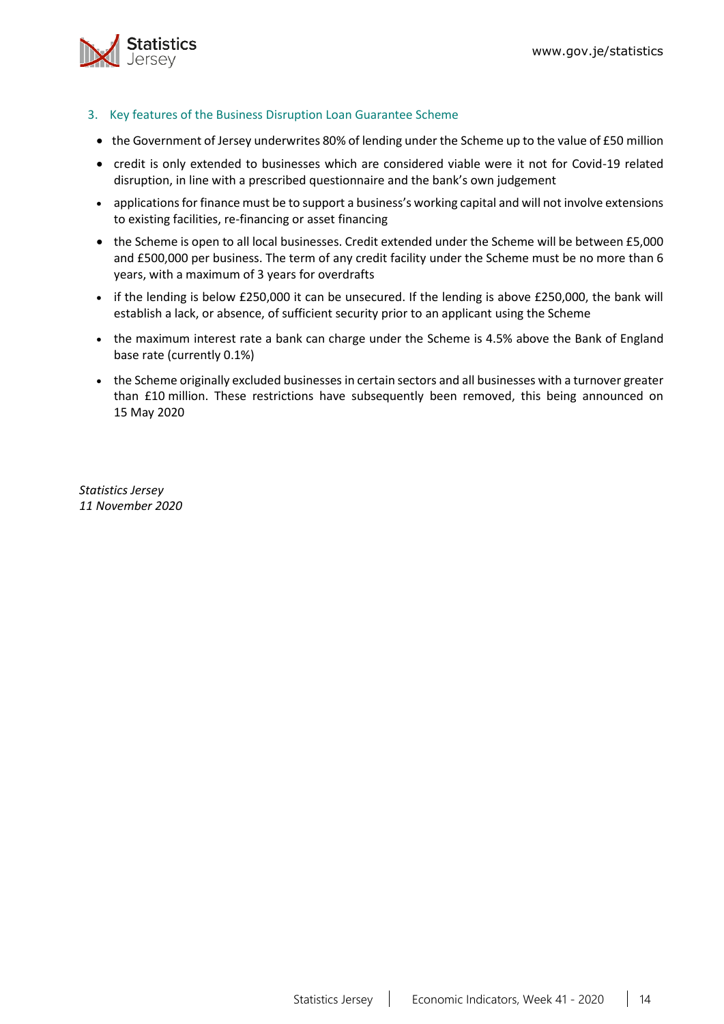

- <span id="page-13-0"></span>3. Key features of the Business Disruption Loan Guarantee Scheme
- the Government of Jersey underwrites 80% of lending under the Scheme up to the value of £50 million
- credit is only extended to businesses which are considered viable were it not for Covid-19 related disruption, in line with a prescribed questionnaire and the bank's own judgement
- applications for finance must be to support a business's working capital and will not involve extensions to existing facilities, re-financing or asset financing
- the Scheme is open to all local businesses. Credit extended under the Scheme will be between £5,000 and £500,000 per business. The term of any credit facility under the Scheme must be no more than 6 years, with a maximum of 3 years for overdrafts
- if the lending is below £250,000 it can be unsecured. If the lending is above £250,000, the bank will establish a lack, or absence, of sufficient security prior to an applicant using the Scheme
- the maximum interest rate a bank can charge under the Scheme is 4.5% above the Bank of England base rate (currently 0.1%)
- the Scheme originally excluded businesses in certain sectors and all businesses with a turnover greater than £10 million. These restrictions have subsequently been removed, this being announced on 15 May 2020

*Statistics Jersey 11 November 2020*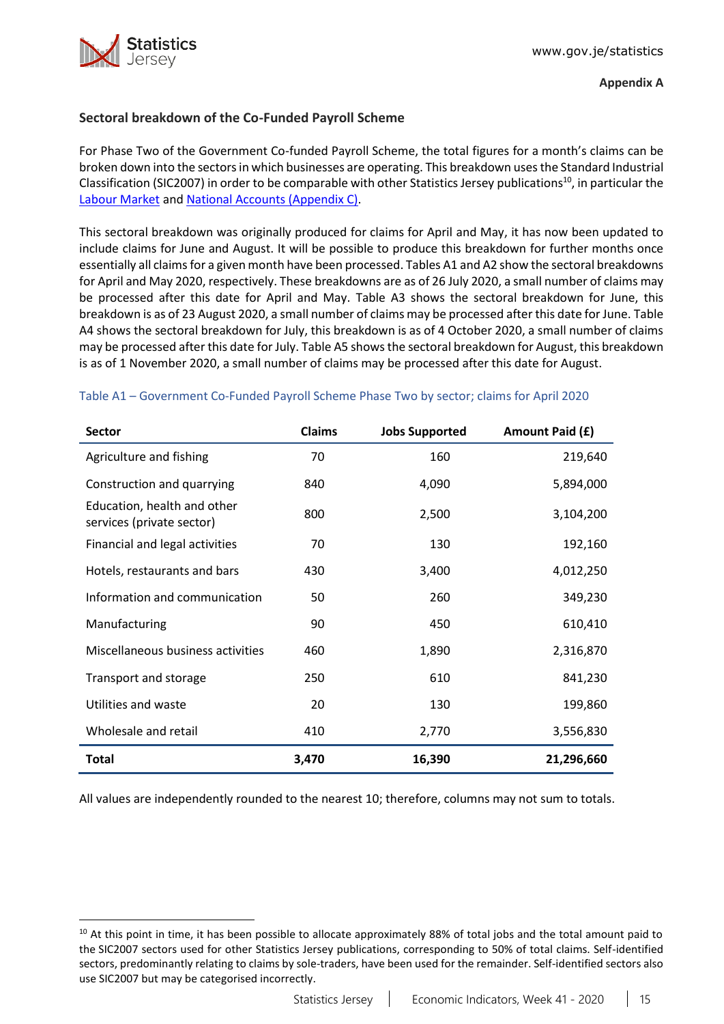

 $\overline{a}$ 

## <span id="page-14-0"></span>**Sectoral breakdown of the Co-Funded Payroll Scheme**

For Phase Two of the Government Co-funded Payroll Scheme, the total figures for a month's claims can be broken down into the sectorsin which businesses are operating. This breakdown usesthe Standard Industrial Classification (SIC2007) in order to be comparable with other Statistics Jersey publications<sup>10</sup>, in particular the [Labour Market](https://www.gov.je/Government/JerseyInFigures/EmploymentEarnings/Pages/LabourMarket.aspx) and [National Accounts \(Appendix C\).](https://www.gov.je/SiteCollectionDocuments/Government%20and%20administration/R%20GVA%20and%20GDP%202018%2020191002%20SJ.pdf)

This sectoral breakdown was originally produced for claims for April and May, it has now been updated to include claims for June and August. It will be possible to produce this breakdown for further months once essentially all claims for a given month have been processed. Tables A1 and A2 show the sectoral breakdowns for April and May 2020, respectively. These breakdowns are as of 26 July 2020, a small number of claims may be processed after this date for April and May. Table A3 shows the sectoral breakdown for June, this breakdown is as of 23 August 2020, a small number of claims may be processed after this date for June. Table A4 shows the sectoral breakdown for July, this breakdown is as of 4 October 2020, a small number of claims may be processed after this date for July. Table A5 shows the sectoral breakdown for August, this breakdown is as of 1 November 2020, a small number of claims may be processed after this date for August.

| <b>Sector</b>                                            | <b>Claims</b> | <b>Jobs Supported</b> | Amount Paid (£) |
|----------------------------------------------------------|---------------|-----------------------|-----------------|
| Agriculture and fishing                                  | 70            | 160                   | 219,640         |
| Construction and quarrying                               | 840           | 4,090                 | 5,894,000       |
| Education, health and other<br>services (private sector) | 800           | 2,500                 | 3,104,200       |
| Financial and legal activities                           | 70            | 130                   | 192,160         |
| Hotels, restaurants and bars                             | 430           | 3,400                 | 4,012,250       |
| Information and communication                            | 50            | 260                   | 349,230         |
| Manufacturing                                            | 90            | 450                   | 610,410         |
| Miscellaneous business activities                        | 460           | 1,890                 | 2,316,870       |
| Transport and storage                                    | 250           | 610                   | 841,230         |
| Utilities and waste                                      | 20            | 130                   | 199,860         |
| Wholesale and retail                                     | 410           | 2,770                 | 3,556,830       |
| <b>Total</b>                                             | 3,470         | 16,390                | 21,296,660      |

### Table A1 – Government Co-Funded Payroll Scheme Phase Two by sector; claims for April 2020

<sup>&</sup>lt;sup>10</sup> At this point in time, it has been possible to allocate approximately 88% of total jobs and the total amount paid to the SIC2007 sectors used for other Statistics Jersey publications, corresponding to 50% of total claims. Self-identified sectors, predominantly relating to claims by sole-traders, have been used for the remainder. Self-identified sectors also use SIC2007 but may be categorised incorrectly.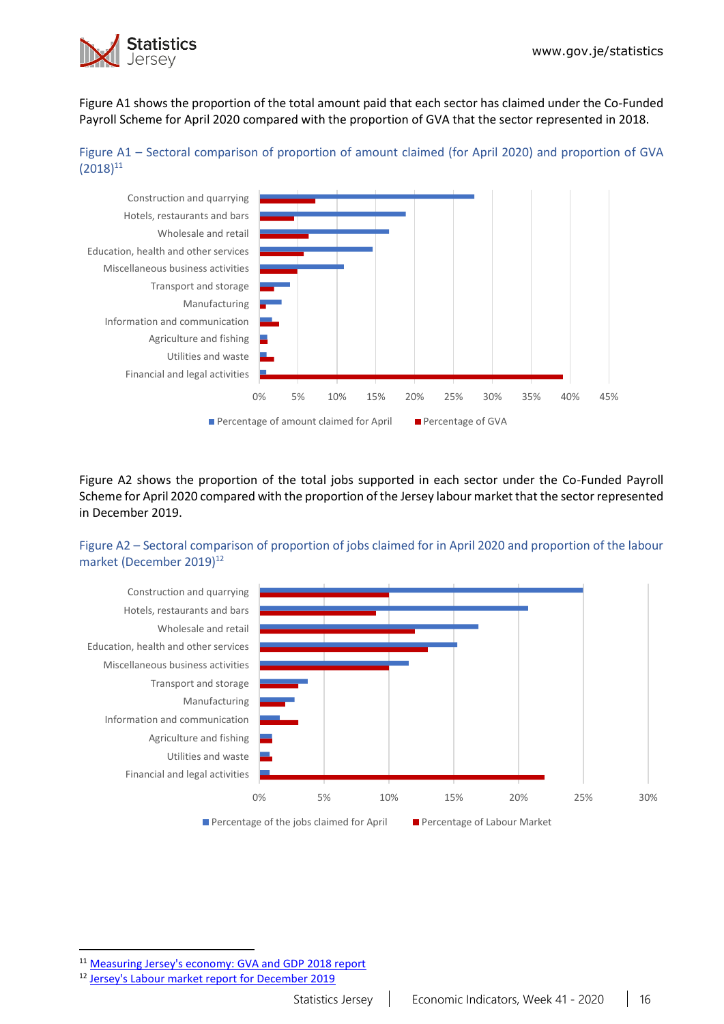

Figure A1 shows the proportion of the total amount paid that each sector has claimed under the Co-Funded Payroll Scheme for April 2020 compared with the proportion of GVA that the sector represented in 2018.





Figure A2 shows the proportion of the total jobs supported in each sector under the Co-Funded Payroll Scheme for April 2020 compared with the proportion of the Jersey labour market that the sector represented in December 2019.

## Figure A2 – Sectoral comparison of proportion of jobs claimed for in April 2020 and proportion of the labour market (December 2019)<sup>12</sup>



 $\overline{a}$ 

<sup>11</sup> [Measuring Jersey's economy: GVA and GDP 2018 report](https://www.gov.je/SiteCollectionDocuments/Government%20and%20administration/R%20GVA%20and%20GDP%202018%2020191002%20SJ.pdf)

<sup>&</sup>lt;sup>12</sup> [Jersey's Labour market report for December 2019](https://www.gov.je/SiteCollectionDocuments/Government%20and%20administration/R%20Jersey%20Labour%20Market%20Dec%2019%2020200528%20SJ.pdf)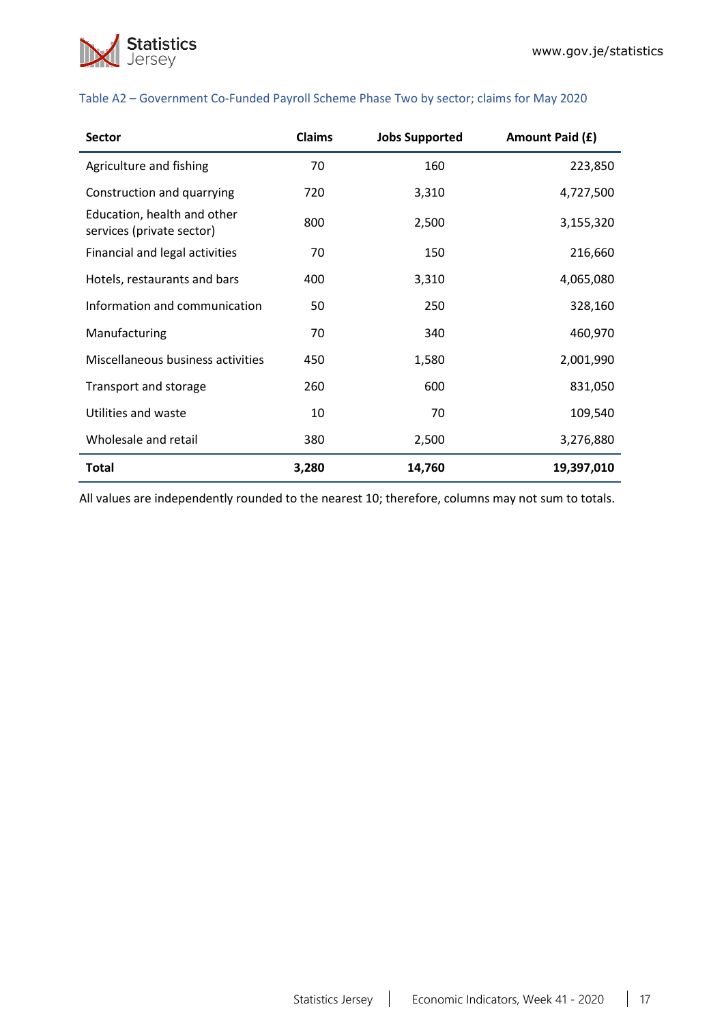

| <b>Sector</b>                                            | <b>Claims</b> | <b>Jobs Supported</b> | Amount Paid (£) |
|----------------------------------------------------------|---------------|-----------------------|-----------------|
| Agriculture and fishing                                  | 70            | 160                   | 223,850         |
| Construction and quarrying                               | 720           | 3,310                 | 4,727,500       |
| Education, health and other<br>services (private sector) | 800           | 2,500                 | 3,155,320       |
| Financial and legal activities                           | 70            | 150                   | 216,660         |
| Hotels, restaurants and bars                             | 400           | 3,310                 | 4,065,080       |
| Information and communication                            | 50            | 250                   | 328,160         |
| Manufacturing                                            | 70            | 340                   | 460,970         |
| Miscellaneous business activities                        | 450           | 1,580                 | 2,001,990       |
| Transport and storage                                    | 260           | 600                   | 831,050         |
| Utilities and waste                                      | 10            | 70                    | 109,540         |
| Wholesale and retail                                     | 380           | 2,500                 | 3,276,880       |
| <b>Total</b>                                             | 3,280         | 14,760                | 19,397,010      |

#### Table A2 – Government Co-Funded Payroll Scheme Phase Two by sector; claims for May 2020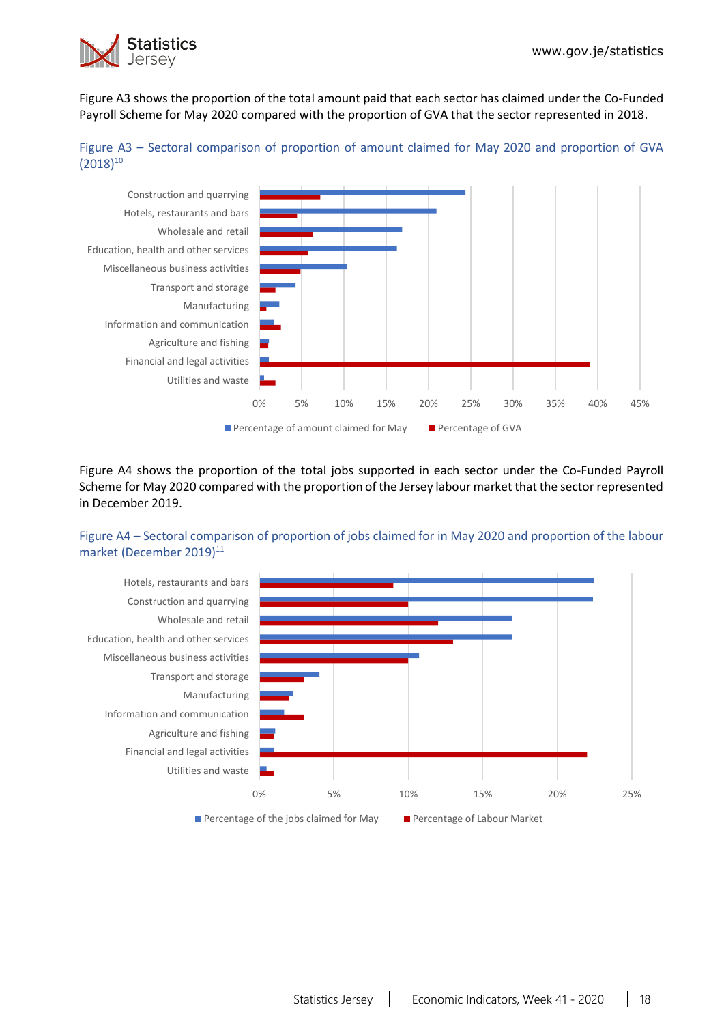

Figure A3 shows the proportion of the total amount paid that each sector has claimed under the Co-Funded Payroll Scheme for May 2020 compared with the proportion of GVA that the sector represented in 2018.





Figure A4 shows the proportion of the total jobs supported in each sector under the Co-Funded Payroll Scheme for May 2020 compared with the proportion of the Jersey labour market that the sector represented in December 2019.

## Figure A4 – Sectoral comparison of proportion of jobs claimed for in May 2020 and proportion of the labour market (December 2019)<sup>11</sup>

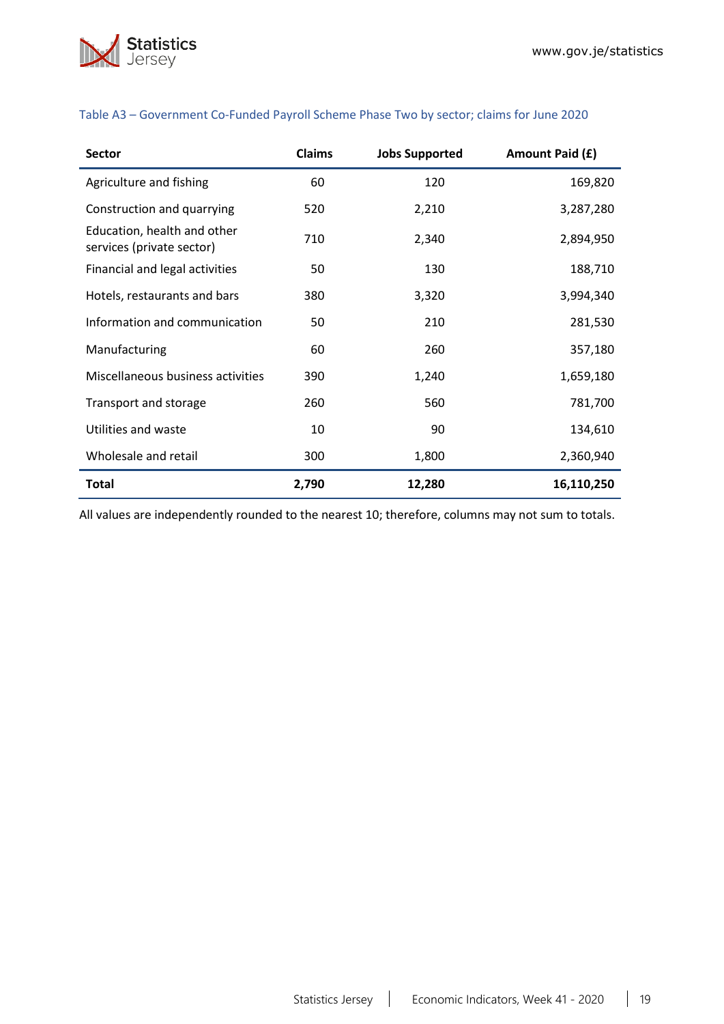

| <b>Sector</b>                                            | <b>Claims</b> | <b>Jobs Supported</b> | Amount Paid (£) |
|----------------------------------------------------------|---------------|-----------------------|-----------------|
| Agriculture and fishing                                  | 60            | 120                   | 169,820         |
| Construction and quarrying                               | 520           | 2,210                 | 3,287,280       |
| Education, health and other<br>services (private sector) | 710           | 2,340                 | 2,894,950       |
| Financial and legal activities                           | 50            | 130                   | 188,710         |
| Hotels, restaurants and bars                             | 380           | 3,320                 | 3,994,340       |
| Information and communication                            | 50            | 210                   | 281,530         |
| Manufacturing                                            | 60            | 260                   | 357,180         |
| Miscellaneous business activities                        | 390           | 1,240                 | 1,659,180       |
| Transport and storage                                    | 260           | 560                   | 781,700         |
| Utilities and waste                                      | 10            | 90                    | 134,610         |
| Wholesale and retail                                     | 300           | 1,800                 | 2,360,940       |
| Total                                                    | 2,790         | 12,280                | 16,110,250      |

## Table A3 – Government Co-Funded Payroll Scheme Phase Two by sector; claims for June 2020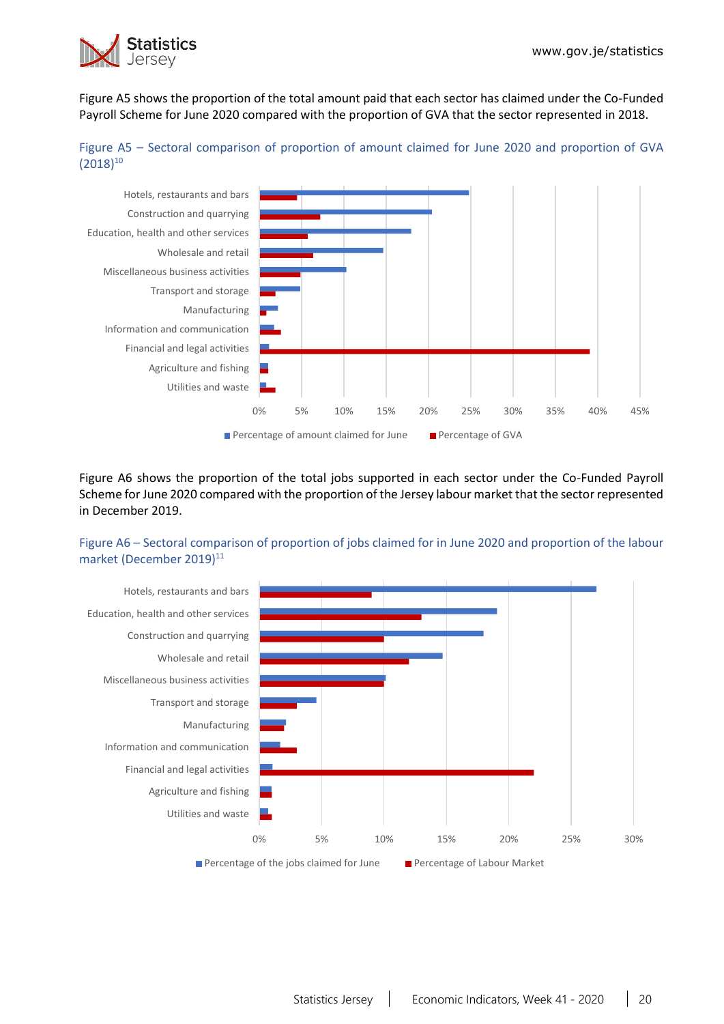

Figure A5 shows the proportion of the total amount paid that each sector has claimed under the Co-Funded Payroll Scheme for June 2020 compared with the proportion of GVA that the sector represented in 2018.





Figure A6 shows the proportion of the total jobs supported in each sector under the Co-Funded Payroll Scheme for June 2020 compared with the proportion of the Jersey labour market that the sector represented in December 2019.

## Figure A6 – Sectoral comparison of proportion of jobs claimed for in June 2020 and proportion of the labour market (December 2019)<sup>11</sup>

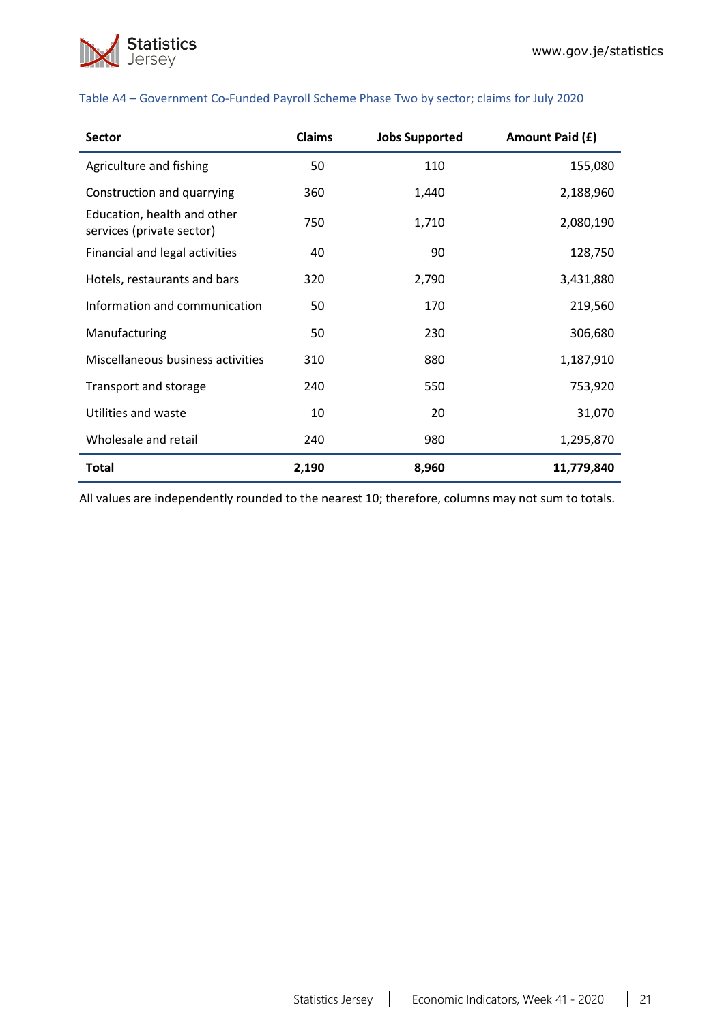

| <b>Sector</b>                                            | <b>Claims</b> | <b>Jobs Supported</b> | Amount Paid (£) |
|----------------------------------------------------------|---------------|-----------------------|-----------------|
| Agriculture and fishing                                  | 50            | 110                   | 155,080         |
| Construction and quarrying                               | 360           | 1,440                 | 2,188,960       |
| Education, health and other<br>services (private sector) | 750           | 1,710                 | 2,080,190       |
| Financial and legal activities                           | 40            | 90                    | 128,750         |
| Hotels, restaurants and bars                             | 320           | 2,790                 | 3,431,880       |
| Information and communication                            | 50            | 170                   | 219,560         |
| Manufacturing                                            | 50            | 230                   | 306,680         |
| Miscellaneous business activities                        | 310           | 880                   | 1,187,910       |
| Transport and storage                                    | 240           | 550                   | 753,920         |
| Utilities and waste                                      | 10            | 20                    | 31,070          |
| Wholesale and retail                                     | 240           | 980                   | 1,295,870       |
| <b>Total</b>                                             | 2,190         | 8,960                 | 11,779,840      |

#### Table A4 – Government Co-Funded Payroll Scheme Phase Two by sector; claims for July 2020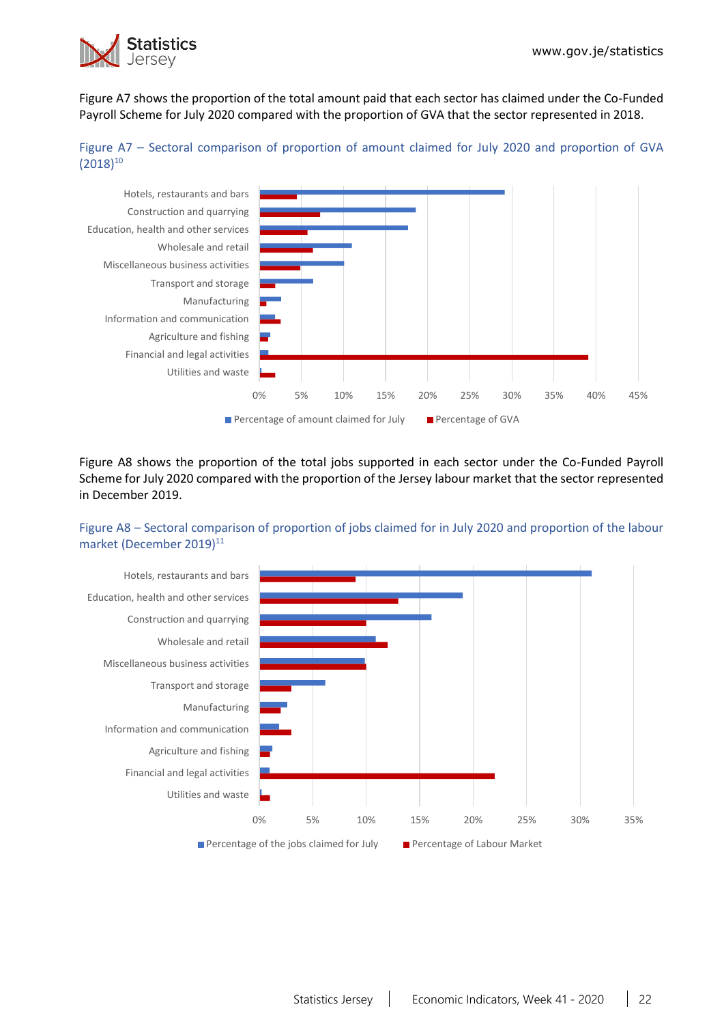

Figure A7 shows the proportion of the total amount paid that each sector has claimed under the Co-Funded Payroll Scheme for July 2020 compared with the proportion of GVA that the sector represented in 2018.





Figure A8 shows the proportion of the total jobs supported in each sector under the Co-Funded Payroll Scheme for July 2020 compared with the proportion of the Jersey labour market that the sector represented in December 2019.

### Figure A8 – Sectoral comparison of proportion of jobs claimed for in July 2020 and proportion of the labour market (December 2019)<sup>11</sup>

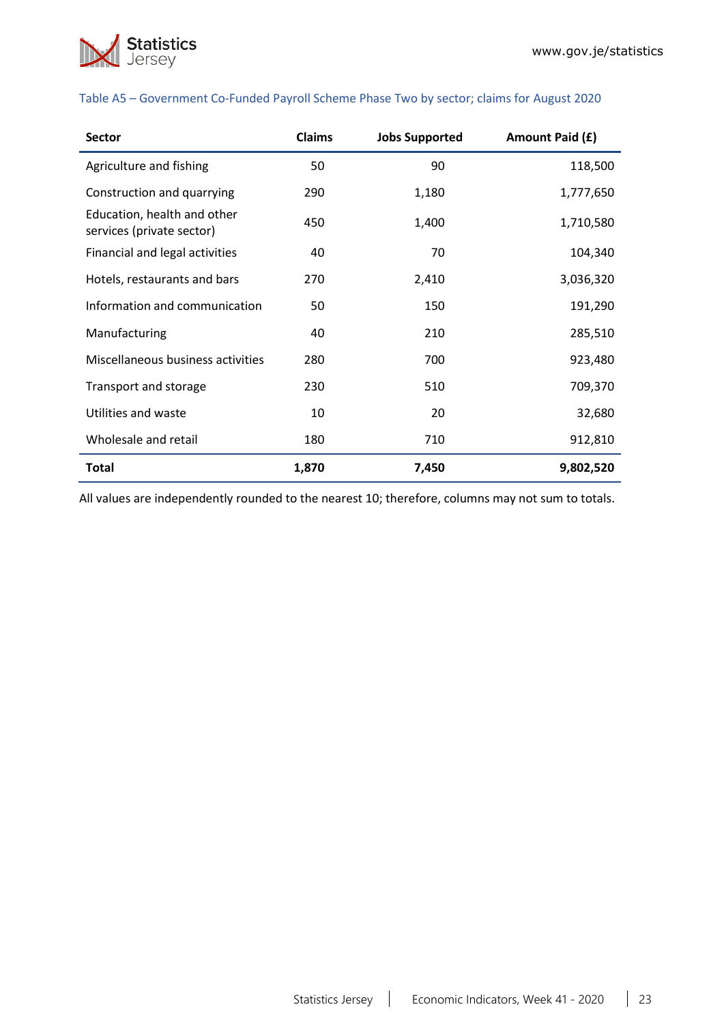

| <b>Sector</b>                                            | <b>Claims</b> | <b>Jobs Supported</b> | Amount Paid (£) |
|----------------------------------------------------------|---------------|-----------------------|-----------------|
| Agriculture and fishing                                  | 50            | 90                    | 118,500         |
| Construction and quarrying                               | 290           | 1,180                 | 1,777,650       |
| Education, health and other<br>services (private sector) | 450           | 1,400                 | 1,710,580       |
| Financial and legal activities                           | 40            | 70                    | 104,340         |
| Hotels, restaurants and bars                             | 270           | 2,410                 | 3,036,320       |
| Information and communication                            | 50            | 150                   | 191,290         |
| Manufacturing                                            | 40            | 210                   | 285,510         |
| Miscellaneous business activities                        | 280           | 700                   | 923,480         |
| Transport and storage                                    | 230           | 510                   | 709,370         |
| Utilities and waste                                      | 10            | 20                    | 32,680          |
| Wholesale and retail                                     | 180           | 710                   | 912,810         |
| <b>Total</b>                                             | 1,870         | 7,450                 | 9,802,520       |

#### Table A5 – Government Co-Funded Payroll Scheme Phase Two by sector; claims for August 2020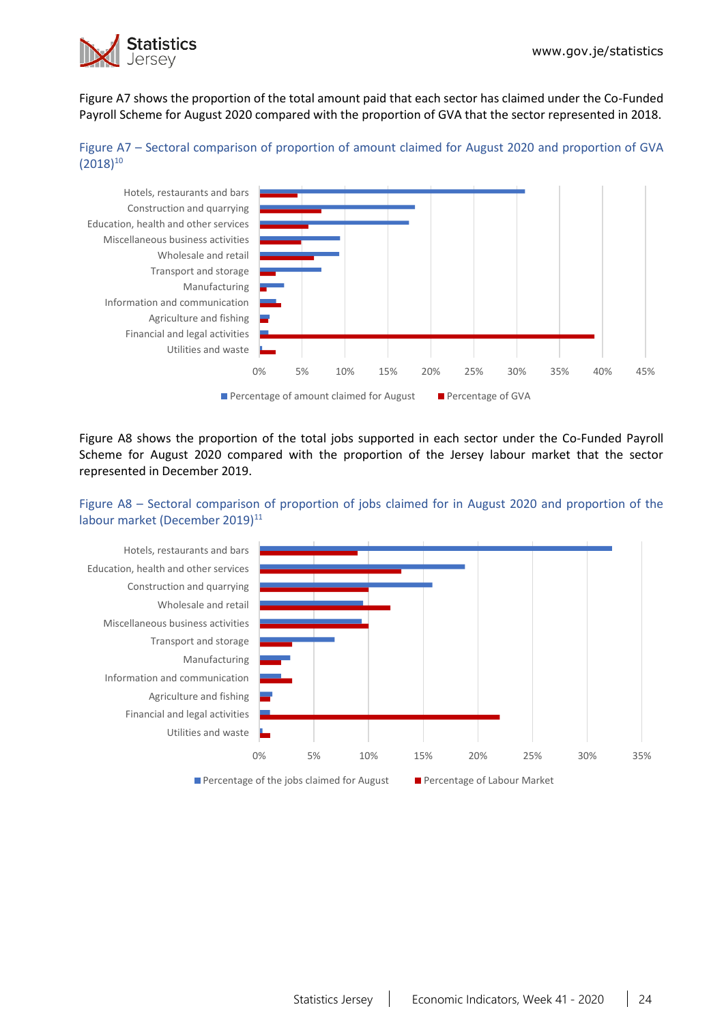

Figure A7 shows the proportion of the total amount paid that each sector has claimed under the Co-Funded Payroll Scheme for August 2020 compared with the proportion of GVA that the sector represented in 2018.





Figure A8 shows the proportion of the total jobs supported in each sector under the Co-Funded Payroll Scheme for August 2020 compared with the proportion of the Jersey labour market that the sector represented in December 2019.